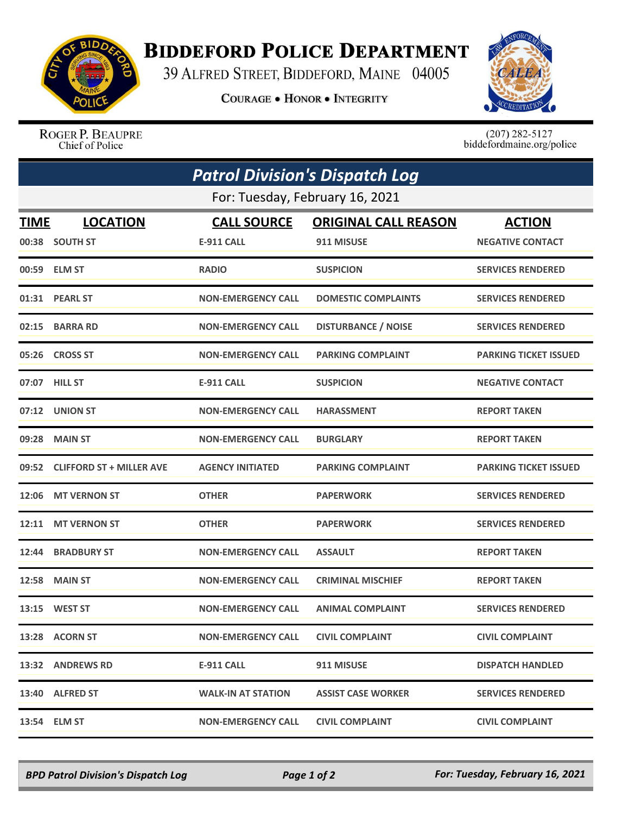

## **BIDDEFORD POLICE DEPARTMENT**

39 ALFRED STREET, BIDDEFORD, MAINE 04005

**COURAGE . HONOR . INTEGRITY** 



ROGER P. BEAUPRE Chief of Police

 $(207)$  282-5127<br>biddefordmaine.org/police

| <b>Patrol Division's Dispatch Log</b><br>For: Tuesday, February 16, 2021 |                                |                           |                            |                              |  |  |
|--------------------------------------------------------------------------|--------------------------------|---------------------------|----------------------------|------------------------------|--|--|
|                                                                          |                                |                           |                            |                              |  |  |
|                                                                          | 00:38 SOUTH ST                 | <b>E-911 CALL</b>         | 911 MISUSE                 | <b>NEGATIVE CONTACT</b>      |  |  |
|                                                                          | 00:59 ELM ST                   | <b>RADIO</b>              | <b>SUSPICION</b>           | <b>SERVICES RENDERED</b>     |  |  |
| 01:31                                                                    | <b>PEARL ST</b>                | <b>NON-EMERGENCY CALL</b> | <b>DOMESTIC COMPLAINTS</b> | <b>SERVICES RENDERED</b>     |  |  |
| 02:15                                                                    | <b>BARRA RD</b>                | <b>NON-EMERGENCY CALL</b> | <b>DISTURBANCE / NOISE</b> | <b>SERVICES RENDERED</b>     |  |  |
|                                                                          | 05:26 CROSS ST                 | <b>NON-EMERGENCY CALL</b> | <b>PARKING COMPLAINT</b>   | <b>PARKING TICKET ISSUED</b> |  |  |
|                                                                          | 07:07 HILL ST                  | <b>E-911 CALL</b>         | <b>SUSPICION</b>           | <b>NEGATIVE CONTACT</b>      |  |  |
|                                                                          | 07:12 UNION ST                 | <b>NON-EMERGENCY CALL</b> | <b>HARASSMENT</b>          | <b>REPORT TAKEN</b>          |  |  |
| 09:28                                                                    | <b>MAIN ST</b>                 | <b>NON-EMERGENCY CALL</b> | <b>BURGLARY</b>            | <b>REPORT TAKEN</b>          |  |  |
|                                                                          | 09:52 CLIFFORD ST + MILLER AVE | <b>AGENCY INITIATED</b>   | <b>PARKING COMPLAINT</b>   | <b>PARKING TICKET ISSUED</b> |  |  |
| 12:06                                                                    | <b>MT VERNON ST</b>            | <b>OTHER</b>              | <b>PAPERWORK</b>           | <b>SERVICES RENDERED</b>     |  |  |
| 12:11                                                                    | <b>MT VERNON ST</b>            | <b>OTHER</b>              | <b>PAPERWORK</b>           | <b>SERVICES RENDERED</b>     |  |  |
| 12:44                                                                    | <b>BRADBURY ST</b>             | <b>NON-EMERGENCY CALL</b> | <b>ASSAULT</b>             | <b>REPORT TAKEN</b>          |  |  |
| 12:58                                                                    | <b>MAIN ST</b>                 | <b>NON-EMERGENCY CALL</b> | <b>CRIMINAL MISCHIEF</b>   | <b>REPORT TAKEN</b>          |  |  |
| 13:15                                                                    | <b>WEST ST</b>                 | <b>NON-EMERGENCY CALL</b> | <b>ANIMAL COMPLAINT</b>    | <b>SERVICES RENDERED</b>     |  |  |
|                                                                          | 13:28 ACORN ST                 | <b>NON-EMERGENCY CALL</b> | <b>CIVIL COMPLAINT</b>     | <b>CIVIL COMPLAINT</b>       |  |  |
|                                                                          | 13:32 ANDREWS RD               | <b>E-911 CALL</b>         | 911 MISUSE                 | <b>DISPATCH HANDLED</b>      |  |  |
|                                                                          | 13:40 ALFRED ST                | <b>WALK-IN AT STATION</b> | <b>ASSIST CASE WORKER</b>  | <b>SERVICES RENDERED</b>     |  |  |
|                                                                          | 13:54 ELM ST                   | <b>NON-EMERGENCY CALL</b> | <b>CIVIL COMPLAINT</b>     | <b>CIVIL COMPLAINT</b>       |  |  |

*BPD Patrol Division's Dispatch Log Page 1 of 2 For: Tuesday, February 16, 2021*